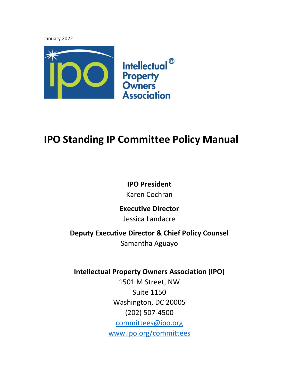January 2022



## **IPO Standing IP Committee Policy Manual**

## **IPO President**

Karen Cochran

### **Executive Director**

Jessica Landacre

## **Deputy Executive Director & Chief Policy Counsel**

Samantha Aguayo

## **Intellectual Property Owners Association (IPO)**

1501 M Street, NW Suite 1150 Washington, DC 20005 (202) 507-4500 [committees@ipo.org](mailto:committees@ipo.org) [www.ipo.org/committees](http://www.ipo.org/committees)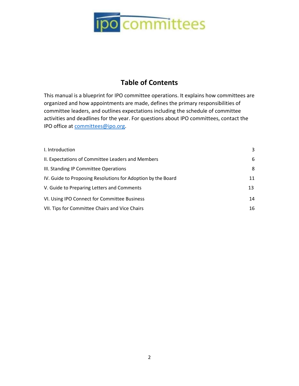

### **Table of Contents**

This manual is a blueprint for IPO committee operations. It explains how committees are organized and how appointments are made, defines the primary responsibilities of committee leaders, and outlines expectations including the schedule of committee activities and deadlines for the year. For questions about IPO committees, contact the IPO office at [committees@ipo.org.](mailto:committees@ipo.org)

| I. Introduction                                              | 3  |
|--------------------------------------------------------------|----|
| II. Expectations of Committee Leaders and Members            | 6  |
| III. Standing IP Committee Operations                        | 8  |
| IV. Guide to Proposing Resolutions for Adoption by the Board | 11 |
| V. Guide to Preparing Letters and Comments                   | 13 |
| VI. Using IPO Connect for Committee Business                 | 14 |
| VII. Tips for Committee Chairs and Vice Chairs               | 16 |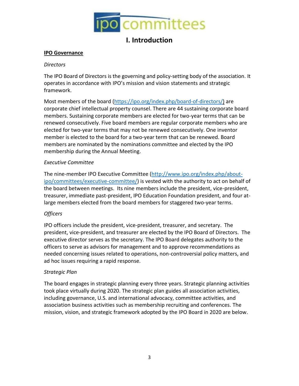

### **I. Introduction**

#### <span id="page-2-0"></span>**IPO Governance**

#### *Directors*

The IPO Board of Directors is the governing and policy-setting body of the association. It operates in accordance with IPO's mission and vision statements and strategic framework.

Most members of the board [\(https://ipo.org/index.php/board-of-directors/\)](https://ipo.org/index.php/board-of-directors/) are corporate chief intellectual property counsel. There are 44 sustaining corporate board members. Sustaining corporate members are elected for two-year terms that can be renewed consecutively. Five board members are regular corporate members who are elected for two-year terms that may not be renewed consecutively. One inventor member is elected to the board for a two-year term that can be renewed. Board members are nominated by the nominations committee and elected by the IPO membership during the Annual Meeting.

#### *Executive Committee*

The nine-member IPO Executive Committee [\(http://www.ipo.org/index.php/about](http://www.ipo.org/index.php/about-ipo/committees/executive-committee/)[ipo/committees/executive-committee/\)](http://www.ipo.org/index.php/about-ipo/committees/executive-committee/) is vested with the authority to act on behalf of the board between meetings. Its nine members include the president, vice-president, treasurer, immediate past-president, IPO Education Foundation president, and four atlarge members elected from the board members for staggered two-year terms.

#### *Officers*

IPO officers include the president, vice-president, treasurer, and secretary. The president, vice-president, and treasurer are elected by the IPO Board of Directors. The executive director serves as the secretary. The IPO Board delegates authority to the officers to serve as advisors for management and to approve recommendations as needed concerning issues related to operations, non-controversial policy matters, and ad hoc issues requiring a rapid response.

#### *Strategic Plan*

The board engages in strategic planning every three years. Strategic planning activities took place virtually during 2020. The strategic plan guides all association activities, including governance, U.S. and international advocacy, committee activities, and association business activities such as membership recruiting and conferences. The mission, vision, and strategic framework adopted by the IPO Board in 2020 are below.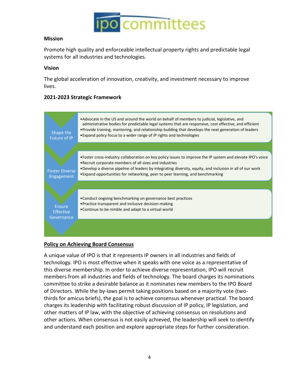

#### **Mission**

Promote high quality and enforceable intellectual property rights and predictable legal systems for all industries and technologies.

#### **Vision**

The global acceleration of innovation, creativity, and investment necessary to improve lives.

#### **2021-2023 Strategic Framework**



#### **Policy on Achieving Board Consensus**

A unique value of IPO is that it represents IP owners in all industries and fields of technology. IPO is most effective when it speaks with one voice as a representative of this diverse membership. In order to achieve diverse representation, IPO will recruit members from all industries and fields of technology. The board charges its nominations committee to strike a desirable balance as it nominates new members to the IPO Board of Directors. While the by-laws permit taking positions based on a majority vote (twothirds for amicus briefs), the goal is to achieve consensus whenever practical. The board charges its leadership with facilitating robust discussion of IP policy, IP legislation, and other matters of IP law, with the objective of achieving consensus on resolutions and other actions. When consensus is not easily achieved, the leadership will seek to identify and understand each position and explore appropriate steps for further consideration.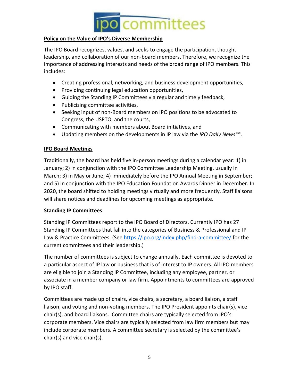

#### **Policy on the Value of IPO's Diverse Membership**

The IPO Board recognizes, values, and seeks to engage the participation, thought leadership, and collaboration of our non-board members. Therefore, we recognize the importance of addressing interests and needs of the broad range of IPO members. This includes:

- Creating professional, networking, and business development opportunities,
- Providing continuing legal education opportunities,
- Guiding the Standing IP Committees via regular and timely feedback,
- Publicizing committee activities,
- Seeking input of non-Board members on IPO positions to be advocated to Congress, the USPTO, and the courts,
- Communicating with members about Board initiatives, and
- Updating members on the developments in IP law via the *IPO Daily News*TM.

#### **IPO Board Meetings**

Traditionally, the board has held five in-person meetings during a calendar year: 1) in January; 2) in conjunction with the IPO Committee Leadership Meeting, usually in March; 3) in May or June; 4) immediately before the IPO Annual Meeting in September; and 5) in conjunction with the IPO Education Foundation Awards Dinner in December. In 2020, the board shifted to holding meetings virtually and more frequently. Staff liaisons will share notices and deadlines for upcoming meetings as appropriate.

#### **Standing IP Committees**

Standing IP Committees report to the IPO Board of Directors. Currently IPO has 27 Standing IP Committees that fall into the categories of Business & Professional and IP Law & Practice Committees. (See<https://ipo.org/index.php/find-a-committee/> for the current committees and their leadership.)

The number of committees is subject to change annually. Each committee is devoted to a particular aspect of IP law or business that is of interest to IP owners. All IPO members are eligible to join a Standing IP Committee, including any employee, partner, or associate in a member company or law firm. Appointments to committees are approved by IPO staff.

Committees are made up of chairs, vice chairs, a secretary, a board liaison, a staff liaison, and voting and non-voting members. The IPO President appoints chair(s), vice chair(s), and board liaisons. Committee chairs are typically selected from IPO's corporate members. Vice chairs are typically selected from law firm members but may include corporate members. A committee secretary is selected by the committee's chair(s) and vice chair(s).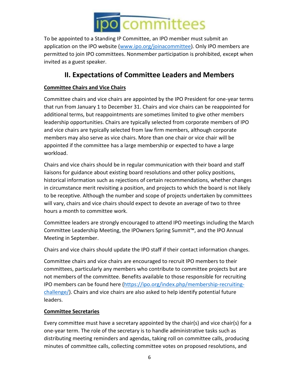

To be appointed to a Standing IP Committee, an IPO member must submit an application on the IPO website [\(www.ipo.org/joinacommittee\)](http://www.ipo.org/joinacommittee). Only IPO members are permitted to join IPO committees. Nonmember participation is prohibited, except when invited as a guest speaker.

## **II. Expectations of Committee Leaders and Members**

#### <span id="page-5-0"></span>**Committee Chairs and Vice Chairs**

Committee chairs and vice chairs are appointed by the IPO President for one-year terms that run from January 1 to December 31. Chairs and vice chairs can be reappointed for additional terms, but reappointments are sometimes limited to give other members leadership opportunities. Chairs are typically selected from corporate members of IPO and vice chairs are typically selected from law firm members, although corporate members may also serve as vice chairs. More than one chair or vice chair will be appointed if the committee has a large membership or expected to have a large workload.

Chairs and vice chairs should be in regular communication with their board and staff liaisons for guidance about existing board resolutions and other policy positions, historical information such as rejections of certain recommendations, whether changes in circumstance merit revisiting a position, and projects to which the board is not likely to be receptive. Although the number and scope of projects undertaken by committees will vary, chairs and vice chairs should expect to devote an average of two to three hours a month to committee work.

Committee leaders are strongly encouraged to attend IPO meetings including the March Committee Leadership Meeting, the IPOwners Spring Summit™, and the IPO Annual Meeting in September.

Chairs and vice chairs should update the IPO staff if their contact information changes.

Committee chairs and vice chairs are encouraged to recruit IPO members to their committees, particularly any members who contribute to committee projects but are not members of the committee. Benefits available to those responsible for recruiting IPO members can be found here [\(https://ipo.org/index.php/membership-recruiting](https://ipo.org/index.php/membership-recruiting-challenge/)[challenge/\)](https://ipo.org/index.php/membership-recruiting-challenge/). Chairs and vice chairs are also asked to help identify potential future leaders.

#### **Committee Secretaries**

Every committee must have a secretary appointed by the chair(s) and vice chair(s) for a one-year term. The role of the secretary is to handle administrative tasks such as distributing meeting reminders and agendas, taking roll on committee calls, producing minutes of committee calls, collecting committee votes on proposed resolutions, and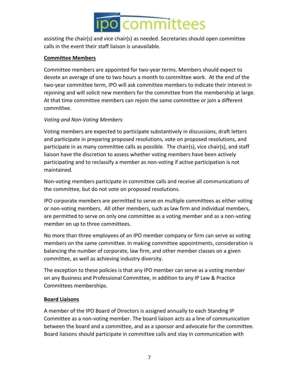

assisting the chair(s) and vice chair(s) as needed. Secretaries should open committee calls in the event their staff liaison is unavailable.

#### **Committee Members**

Committee members are appointed for two-year terms. Members should expect to devote an average of one to two hours a month to committee work. At the end of the two-year committee term, IPO will ask committee members to indicate their interest in rejoining and will solicit new members for the committee from the membership at large. At that time committee members can rejoin the same committee or join a different committee.

#### *Voting and Non-Voting Members*

Voting members are expected to participate substantively in discussions, draft letters and participate in preparing proposed resolutions, vote on proposed resolutions, and participate in as many committee calls as possible. The chair(s), vice chair(s), and staff liaison have the discretion to assess whether voting members have been actively participating and to reclassify a member as non-voting if active participation is not maintained.

Non-voting members participate in committee calls and receive all communications of the committee, but do not vote on proposed resolutions.

IPO corporate members are permitted to serve on multiple committees as either voting or non-voting members. All other members, such as law firm and individual members, are permitted to serve on only one committee as a voting member and as a non-voting member on up to three committees.

No more than three employees of an IPO member company or firm can serve as voting members on the same committee. In making committee appointments, consideration is balancing the number of corporate, law firm, and other member classes on a given committee, as well as achieving industry diversity.

The exception to these policies is that any IPO member can serve as a voting member on any Business and Professional Committee, in addition to any IP Law & Practice Committees memberships.

#### **Board Liaisons**

A member of the IPO Board of Directors is assigned annually to each Standing IP Committee as a non-voting member. The board liaison acts as a line of communication between the board and a committee, and as a sponsor and advocate for the committee. Board liaisons should participate in committee calls and stay in communication with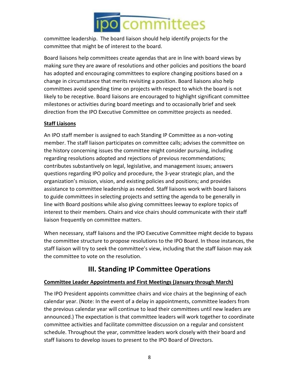committee leadership. The board liaison should help identify projects for the committee that might be of interest to the board.

Board liaisons help committees create agendas that are in line with board views by making sure they are aware of resolutions and other policies and positions the board has adopted and encouraging committees to explore changing positions based on a change in circumstance that merits revisiting a position. Board liaisons also help committees avoid spending time on projects with respect to which the board is not likely to be receptive. Board liaisons are encouraged to highlight significant committee milestones or activities during board meetings and to occasionally brief and seek direction from the IPO Executive Committee on committee projects as needed.

#### **Staff Liaisons**

An IPO staff member is assigned to each Standing IP Committee as a non-voting member. The staff liaison participates on committee calls; advises the committee on the history concerning issues the committee might consider pursuing, including regarding resolutions adopted and rejections of previous recommendations; contributes substantively on legal, legislative, and management issues; answers questions regarding IPO policy and procedure, the 3-year strategic plan, and the organization's mission, vision, and existing policies and positions; and provides assistance to committee leadership as needed. Staff liaisons work with board liaisons to guide committees in selecting projects and setting the agenda to be generally in line with Board positions while also giving committees leeway to explore topics of interest to their members. Chairs and vice chairs should communicate with their staff liaison frequently on committee matters.

When necessary, staff liaisons and the IPO Executive Committee might decide to bypass the committee structure to propose resolutions to the IPO Board. In those instances, the staff liaison will try to seek the committee's view, including that the staff liaison may ask the committee to vote on the resolution.

## **III. Standing IP Committee Operations**

#### <span id="page-7-0"></span>**Committee Leader Appointments and First Meetings (January through March)**

The IPO President appoints committee chairs and vice chairs at the beginning of each calendar year. (Note: In the event of a delay in appointments, committee leaders from the previous calendar year will continue to lead their committees until new leaders are announced.) The expectation is that committee leaders will work together to coordinate committee activities and facilitate committee discussion on a regular and consistent schedule. Throughout the year, committee leaders work closely with their board and staff liaisons to develop issues to present to the IPO Board of Directors.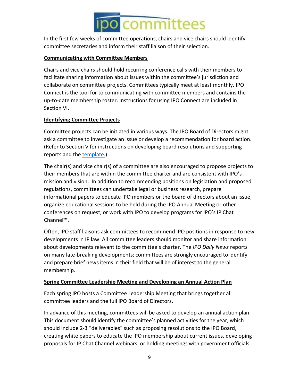In the first few weeks of committee operations, chairs and vice chairs should identify committee secretaries and inform their staff liaison of their selection.

#### **Communicating with Committee Members**

Chairs and vice chairs should hold recurring conference calls with their members to facilitate sharing information about issues within the committee's jurisdiction and collaborate on committee projects. Committees typically meet at least monthly. IPO Connect is the tool for to communicating with committee members and contains the up-to-date membership roster. Instructions for using IPO Connect are included in Section VI.

#### **Identifying Committee Projects**

Committee projects can be initiated in various ways. The IPO Board of Directors might ask a committee to investigate an issue or develop a recommendation for board action. (Refer to Section V for instructions on developing board resolutions and supporting reports and the [template.](http://www.ipo.org/wp-content/uploads/2016/03/Template_for_Board_Reports.docx))

The chair(s) and vice chair(s) of a committee are also encouraged to propose projects to their members that are within the committee charter and are consistent with IPO's mission and vision. In addition to recommending positions on legislation and proposed regulations, committees can undertake legal or business research, prepare informational papers to educate IPO members or the board of directors about an issue, organize educational sessions to be held during the IPO Annual Meeting or other conferences on request, or work with IPO to develop programs for IPO's IP Chat Channel™.

Often, IPO staff liaisons ask committees to recommend IPO positions in response to new developments in IP law. All committee leaders should monitor and share information about developments relevant to the committee's charter. The *IPO Daily News* reports on many late-breaking developments; committees are strongly encouraged to identify and prepare brief news items in their field that will be of interest to the general membership.

#### **Spring Committee Leadership Meeting and Developing an Annual Action Plan**

Each spring IPO hosts a Committee Leadership Meeting that brings together all committee leaders and the full IPO Board of Directors.

In advance of this meeting, committees will be asked to develop an annual action plan. This document should identify the committee's planned activities for the year, which should include 2-3 "deliverables" such as proposing resolutions to the IPO Board, creating white papers to educate the IPO membership about current issues, developing proposals for IP Chat Channel webinars, or holding meetings with government officials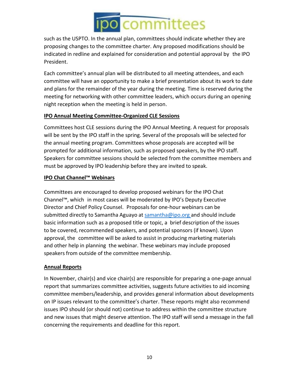such as the USPTO. In the annual plan, committees should indicate whether they are proposing changes to the committee charter. Any proposed modifications should be indicated in redline and explained for consideration and potential approval by the IPO President.

Each committee's annual plan will be distributed to all meeting attendees, and each committee will have an opportunity to make a brief presentation about its work to date and plans for the remainder of the year during the meeting. Time is reserved during the meeting for networking with other committee leaders, which occurs during an opening night reception when the meeting is held in person.

#### **IPO Annual Meeting Committee-Organized CLE Sessions**

Committees host CLE sessions during the IPO Annual Meeting. A request for proposals will be sent by the IPO staff in the spring. Several of the proposals will be selected for the annual meeting program. Committees whose proposals are accepted will be prompted for additional information, such as proposed speakers, by the IPO staff. Speakers for committee sessions should be selected from the committee members and must be approved by IPO leadership before they are invited to speak.

#### **IPO Chat Channel™ Webinars**

Committees are encouraged to develop proposed webinars for the IPO Chat Channel™, which in most cases will be moderated by IPO's Deputy Executive Director and Chief Policy Counsel. Proposals for one-hour webinars can be submitted directly to Samantha Aguayo at [samantha@ipo.org](mailto:samantha@ipo.org) and should include basic information such as a proposed title or topic, a brief description of the issues to be covered, recommended speakers, and potential sponsors (if known). Upon approval, the committee will be asked to assist in producing marketing materials and other help in planning the webinar. These webinars may include proposed speakers from outside of the committee membership.

#### **Annual Reports**

In November, chair(s) and vice chair(s) are responsible for preparing a one-page annual report that summarizes committee activities, suggests future activities to aid incoming committee members/leadership, and provides general information about developments on IP issues relevant to the committee's charter. These reports might also recommend issues IPO should (or should not) continue to address within the committee structure and new issues that might deserve attention. The IPO staff will send a message in the fall concerning the requirements and deadline for this report.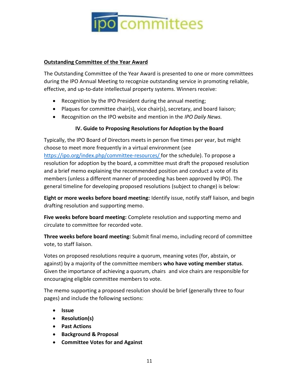

#### **Outstanding Committee of the Year Award**

The Outstanding Committee of the Year Award is presented to one or more committees during the IPO Annual Meeting to recognize outstanding service in promoting reliable, effective, and up-to-date intellectual property systems. Winners receive:

- Recognition by the IPO President during the annual meeting;
- Plaques for committee chair(s), vice chair(s), secretary, and board liaison;
- Recognition on the IPO website and mention in the *IPO Daily News.*

#### **IV. Guide to Proposing Resolutionsfor Adoption by the Board**

<span id="page-10-0"></span>Typically, the IPO Board of Directors meets in person five times per year, but might choose to meet more frequently in a virtual environment (see <https://ipo.org/index.php/committee-resources/> for the schedule). To propose a resolution for adoption by the board, a committee must draft the proposed resolution and a brief memo explaining the recommended position and conduct a vote of its members (unless a different manner of proceeding has been approved by IPO). The general timeline for developing proposed resolutions (subject to change) is below:

**Eight or more weeks before board meeting:** Identify issue, notify staff liaison, and begin drafting resolution and supporting memo.

**Five weeks before board meeting:** Complete resolution and supporting memo and circulate to committee for recorded vote.

**Three weeks before board meeting:** Submit final memo, including record of committee vote, to staff liaison.

Votes on proposed resolutions require a quorum, meaning votes (for, abstain, or against) by a majority of the committee members **who have voting member status**. Given the importance of achieving a quorum, chairs and vice chairs are responsible for encouraging eligible committee members to vote.

The memo supporting a proposed resolution should be brief (generally three to four pages) and include the following sections:

- **Issue**
- **Resolution(s)**
- **Past Actions**
- **Background & Proposal**
- **Committee Votes for and Against**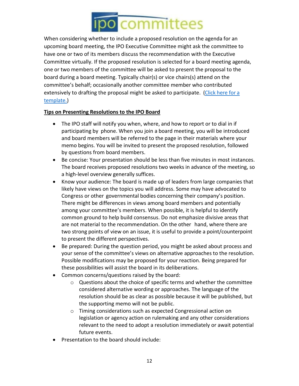When considering whether to include a proposed resolution on the agenda for an upcoming board meeting, the IPO Executive Committee might ask the committee to have one or two of its members discuss the recommendation with the Executive Committee virtually. If the proposed resolution is selected for a board meeting agenda, one or two members of the committee will be asked to present the proposal to the board during a board meeting. Typically chair(s) or vice chairs(s) attend on the committee's behalf; occasionally another committee member who contributed extensively to drafting the proposal might be asked to participate. [\(Click here for](https://ipo.org/wp-content/uploads/2019/06/Template_for_Board_Reports-2-1.doc) a [template.\)](https://ipo.org/wp-content/uploads/2019/06/Template_for_Board_Reports-2-1.doc)

#### **Tips on Presenting Resolutions to the IPO Board**

- The IPO staff will notify you when, where, and how to report or to dial in if participating by phone. When you join a board meeting, you will be introduced and board members will be referred to the page in their materials where your memo begins. You will be invited to present the proposed resolution, followed by questions from board members.
- Be concise: Your presentation should be less than five minutes in most instances. The board receives proposed resolutions two weeks in advance of the meeting, so a high-level overview generally suffices.
- Know your audience: The board is made up of leaders from large companies that likely have views on the topics you will address. Some may have advocated to Congress or other governmental bodies concerning their company's position. There might be differences in views among board members and potentially among your committee's members. When possible, it is helpful to identify common ground to help build consensus. Do not emphasize divisive areas that are not material to the recommendation. On the other hand, where there are two strong points of view on an issue, it is useful to provide a point/counterpoint to present the different perspectives.
- Be prepared: During the question period, you might be asked about process and your sense of the committee's views on alternative approaches to the resolution. Possible modifications may be proposed for your reaction. Being prepared for these possibilities will assist the board in its deliberations.
- Common concerns/questions raised by the board:
	- o Questions about the choice of specific terms and whether the committee considered alternative wording or approaches. The language of the resolution should be as clear as possible because it will be published, but the supporting memo will not be public.
	- o Timing considerations such as expected Congressional action on legislation or agency action on rulemaking and any other considerations relevant to the need to adopt a resolution immediately or await potential future events.
- Presentation to the board should include: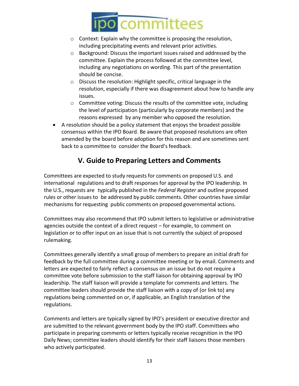- o Context: Explain why the committee is proposing the resolution, including precipitating events and relevant prior activities.
- o Background: Discuss the important issues raised and addressed by the committee. Explain the process followed at the committee level, including any negotiations on wording. This part of the presentation should be concise.
- o Discuss the resolution: Highlight specific, critical language in the resolution, especially if there was disagreement about how to handle any issues.
- o Committee voting: Discuss the results of the committee vote, including the level of participation (particularly by corporate members) and the reasons expressed by any member who opposed the resolution.
- A resolution should be a policy statement that enjoys the broadest possible consensus within the IPO Board. Be aware that proposed resolutions are often amended by the board before adoption for this reason and are sometimes sent back to a committee to consider the Board's feedback.

## **V. Guide to Preparing Letters and Comments**

Committees are expected to study requests for comments on proposed U.S. and international regulations and to draft responses for approval by the IPO leadership. In the U.S., requests are typically published in the *Federal Register* and outline proposed rules or other issues to be addressed by public comments. Other countries have similar mechanisms for requesting public comments on proposed governmental actions.

Committees may also recommend that IPO submit letters to legislative or administrative agencies outside the context of a direct request – for example, to comment on legislation or to offer input on an issue that is not currently the subject of proposed rulemaking.

Committees generally identify a small group of members to prepare an initial draft for feedback by the full committee during a committee meeting or by email. Comments and letters are expected to fairly reflect a consensus on an issue but do not require a committee vote before submission to the staff liaison for obtaining approval by IPO leadership. The staff liaison will provide a template for comments and letters. The committee leaders should provide the staff liaison with a copy of (or link to) any regulations being commented on or, if applicable, an English translation of the regulations.

Comments and letters are typically signed by IPO's president or executive director and are submitted to the relevant government body by the IPO staff. Committees who participate in preparing comments or letters typically receive recognition in the IPO Daily News; committee leaders should identify for their staff liaisons those members who actively participated.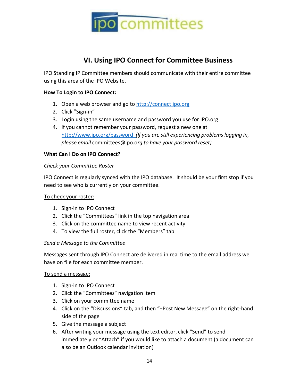

### **VI. Using IPO Connect for Committee Business**

<span id="page-13-0"></span>IPO Standing IP Committee members should communicate with their entire committee using this area of the IPO Website.

#### **How To Login to IPO Connect:**

- 1. Open a web browser and go to [http://connect.ipo.org](http://connect.ipo.org/)
- 2. Click "Sign-in"
- 3. Login using the same username and password you use for IPO.org
- 4. If you cannot remember your password, request a new one at <http://www.ipo.org/password> *(If you are still experiencing problems logging in, please email* [committees@ipo.o](mailto:committees@ipo.org)*rg to have your password reset)*

#### **What Can I Do on IPO Connect?**

#### *Check your Committee Roster*

IPO Connect is regularly synced with the IPO database. It should be your first stop if you need to see who is currently on your committee.

#### To check your roster:

- 1. Sign-in to IPO Connect
- 2. Click the "Committees" link in the top navigation area
- 3. Click on the committee name to view recent activity
- 4. To view the full roster, click the "Members" tab

#### *Send a Message to the Committee*

Messages sent through IPO Connect are delivered in real time to the email address we have on file for each committee member.

#### To send a message:

- 1. Sign-in to IPO Connect
- 2. Click the "Committees" navigation item
- 3. Click on your committee name
- 4. Click on the "Discussions" tab, and then "+Post New Message" on the right-hand side of the page
- 5. Give the message a subject
- 6. After writing your message using the text editor, click "Send" to send immediately or "Attach" if you would like to attach a document (a document can also be an Outlook calendar invitation)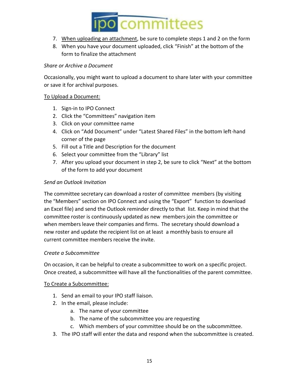

- 7. When uploading an attachment, be sure to complete steps 1 and 2 on the form
- 8. When you have your document uploaded, click "Finish" at the bottom of the form to finalize the attachment

#### *Share or Archive a Document*

Occasionally, you might want to upload a document to share later with your committee or save it for archival purposes.

#### To Upload a Document:

- 1. Sign-in to IPO Connect
- 2. Click the "Committees" navigation item
- 3. Click on your committee name
- 4. Click on "Add Document" under "Latest Shared Files" in the bottom left-hand corner of the page
- 5. Fill out a Title and Description for the document
- 6. Select your committee from the "Library" list
- 7. After you upload your document in step 2, be sure to click "Next" at the bottom of the form to add your document

#### *Send an Outlook Invitation*

The committee secretary can download a roster of committee members (by visiting the "Members" section on IPO Connect and using the "Export" function to download an Excel file) and send the Outlook reminder directly to that list. Keep in mind that the committee roster is continuously updated as new members join the committee or when members leave their companies and firms. The secretary should download a new roster and update the recipient list on at least a monthly basis to ensure all current committee members receive the invite.

#### *Create a Subcommittee*

On occasion, it can be helpful to create a subcommittee to work on a specific project. Once created, a subcommittee will have all the functionalities of the parent committee.

#### To Create a Subcommittee:

- 1. Send an email to your IPO staff liaison.
- 2. In the email, please include:
	- a. The name of your committee
	- b. The name of the subcommittee you are requesting
	- c. Which members of your committee should be on the subcommittee.
- 3. The IPO staff will enter the data and respond when the subcommittee is created.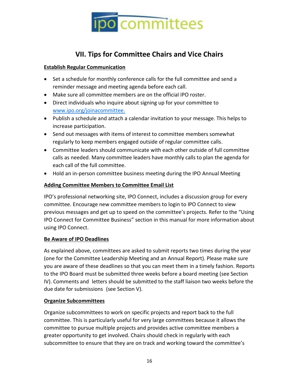

## **VII. Tips for Committee Chairs and Vice Chairs**

#### <span id="page-15-0"></span>**Establish Regular Communication**

- Set a schedule for monthly conference calls for the full committee and send a reminder message and meeting agenda before each call.
- Make sure all committee members are on the official IPO roster.
- Direct individuals who inquire about signing up for your committee to [www.ipo.org/joinacommittee.](http://www.ipo.org/joinacommittee)
- Publish a schedule and attach a calendar invitation to your message. This helps to increase participation.
- Send out messages with items of interest to committee members somewhat regularly to keep members engaged outside of regular committee calls.
- Committee leaders should communicate with each other outside of full committee calls as needed. Many committee leaders have monthly calls to plan the agenda for each call of the full committee.
- Hold an in-person committee business meeting during the IPO Annual Meeting

#### **Adding Committee Members to Committee Email List**

IPO's professional networking site, IPO Connect, includes a discussion group for every committee. Encourage new committee members to login to IPO Connect to view previous messages and get up to speed on the committee's projects. Refer to the "Using IPO Connect for Committee Business" section in this manual for more information about using IPO Connect.

#### **Be Aware of IPO Deadlines**

As explained above, committees are asked to submit reports two times during the year (one for the Committee Leadership Meeting and an Annual Report). Please make sure you are aware of these deadlines so that you can meet them in a timely fashion. Reports to the IPO Board must be submitted three weeks before a board meeting (see Section IV). Comments and letters should be submitted to the staff liaison two weeks before the due date for submissions (see Section V).

#### **Organize Subcommittees**

Organize subcommittees to work on specific projects and report back to the full committee. This is particularly useful for very large committees because it allows the committee to pursue multiple projects and provides active committee members a greater opportunity to get involved. Chairs should check in regularly with each subcommittee to ensure that they are on track and working toward the committee's